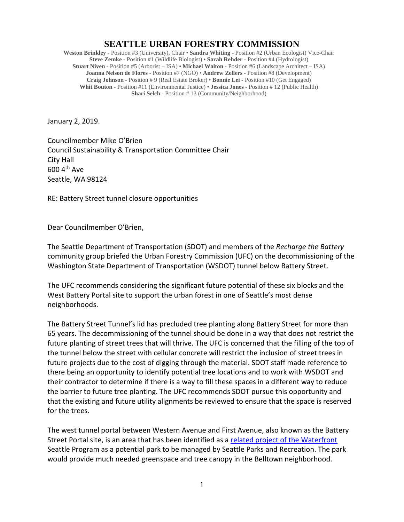## **SEATTLE URBAN FORESTRY COMMISSION**

**Weston Brinkley** - Position #3 (University), Chair • **Sandra Whiting** - Position #2 (Urban Ecologist) Vice-Chair **Steve Zemke** - Position #1 (Wildlife Biologist) • **Sarah Rehder** - Position #4 (Hydrologist) **Stuart Niven** - Position #5 (Arborist – ISA) • **Michael Walton** - Position #6 (Landscape Architect – ISA) **Joanna Nelson de Flores** - Position #7 (NGO) • **Andrew Zellers** - Position #8 (Development) **Craig Johnson** - Position # 9 (Real Estate Broker) • **Bonnie Lei** - Position #10 (Get Engaged) **Whit Bouton** - Position #11 (Environmental Justice) • **Jessica Jones** - Position # 12 (Public Health) **Shari Selch** - Position # 13 (Community/Neighborhood)

January 2, 2019.

Councilmember Mike O'Brien Council Sustainability & Transportation Committee Chair City Hall  $600$  4<sup>th</sup> Ave Seattle, WA 98124

RE: Battery Street tunnel closure opportunities

Dear Councilmember O'Brien,

The Seattle Department of Transportation (SDOT) and members of the *Recharge the Battery* community group briefed the Urban Forestry Commission (UFC) on the decommissioning of the Washington State Department of Transportation (WSDOT) tunnel below Battery Street.

The UFC recommends considering the significant future potential of these six blocks and the West Battery Portal site to support the urban forest in one of Seattle's most dense neighborhoods.

The Battery Street Tunnel's lid has precluded tree planting along Battery Street for more than 65 years. The decommissioning of the tunnel should be done in a way that does not restrict the future planting of street trees that will thrive. The UFC is concerned that the filling of the top of the tunnel below the street with cellular concrete will restrict the inclusion of street trees in future projects due to the cost of digging through the material. SDOT staff made reference to there being an opportunity to identify potential tree locations and to work with WSDOT and their contractor to determine if there is a way to fill these spaces in a different way to reduce the barrier to future tree planting. The UFC recommends SDOT pursue this opportunity and that the existing and future utility alignments be reviewed to ensure that the space is reserved for the trees.

The west tunnel portal between Western Avenue and First Avenue, also known as the Battery Street Portal site, is an area that has been identified as a related project [of the Waterfront](https://waterfrontseattle.org/overview) Seattle Program as a potential park to be managed by Seattle Parks and Recreation. The park would provide much needed greenspace and tree canopy in the Belltown neighborhood.